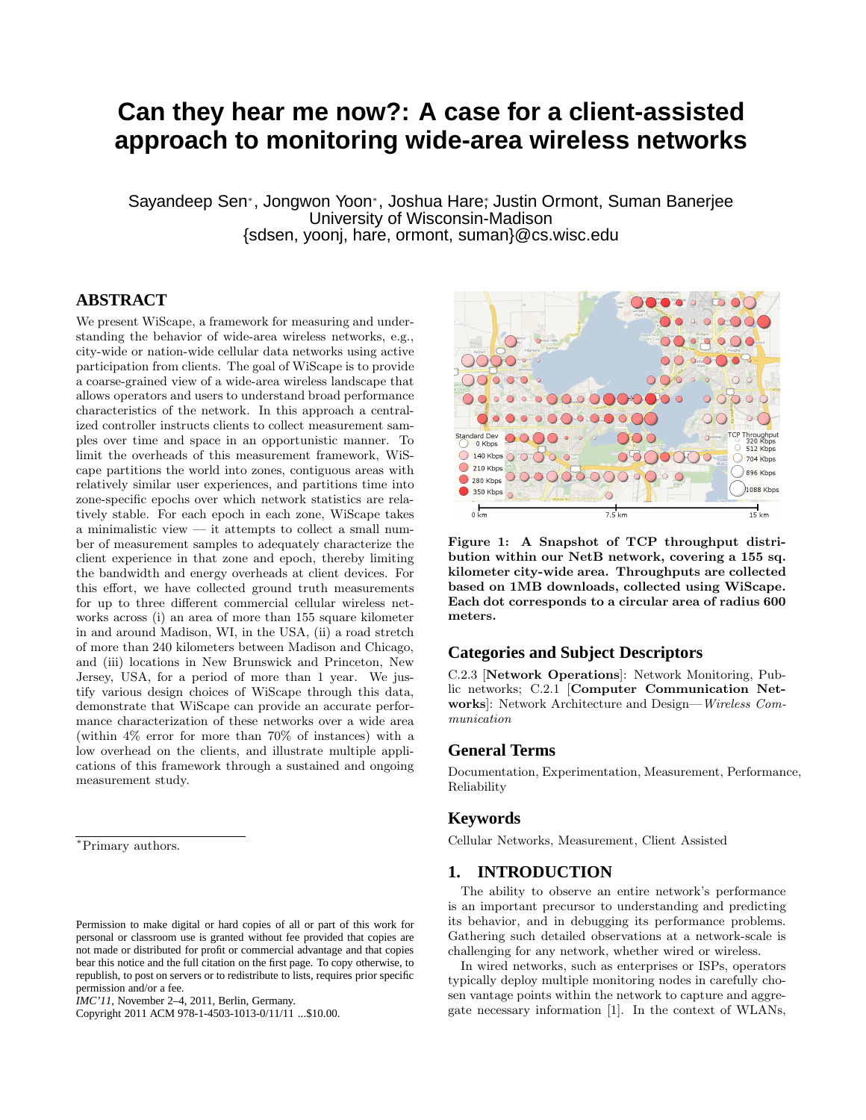# **Can they hear me now?: A case for a client-assisted approach to monitoring wide-area wireless networks**

Sayandeep Sen<sup>∗</sup>, Jongwon Yoon<sup>∗</sup>, Joshua Hare<sup>\*</sup>, Justin Ormont, Suman Banerjee University of Wisconsin-Madison {sdsen, yoonj, hare, ormont, suman}@cs.wisc.edu

## **ABSTRACT**

We present WiScape, a framework for measuring and understanding the behavior of wide-area wireless networks, e.g., city-wide or nation-wide cellular data networks using active participation from clients. The goal of WiScape is to provide a coarse-grained view of a wide-area wireless landscape that allows operators and users to understand broad performance characteristics of the network. In this approach a centralized controller instructs clients to collect measurement samples over time and space in an opportunistic manner. To limit the overheads of this measurement framework, WiScape partitions the world into zones, contiguous areas with relatively similar user experiences, and partitions time into zone-specific epochs over which network statistics are relatively stable. For each epoch in each zone, WiScape takes a minimalistic view — it attempts to collect a small number of measurement samples to adequately characterize the client experience in that zone and epoch, thereby limiting the bandwidth and energy overheads at client devices. For this effort, we have collected ground truth measurements for up to three different commercial cellular wireless networks across (i) an area of more than 155 square kilometer in and around Madison, WI, in the USA, (ii) a road stretch of more than 240 kilometers between Madison and Chicago, and (iii) locations in New Brunswick and Princeton, New Jersey, USA, for a period of more than 1 year. We justify various design choices of WiScape through this data, demonstrate that WiScape can provide an accurate performance characterization of these networks over a wide area (within 4% error for more than 70% of instances) with a low overhead on the clients, and illustrate multiple applications of this framework through a sustained and ongoing measurement study.

Copyright 2011 ACM 978-1-4503-1013-0/11/11 ...\$10.00.



Figure 1: A Snapshot of TCP throughput distribution within our NetB network, covering a 155 sq. kilometer city-wide area. Throughputs are collected based on 1MB downloads, collected using WiScape. Each dot corresponds to a circular area of radius 600 meters.

## **Categories and Subject Descriptors**

C.2.3 [Network Operations]: Network Monitoring, Public networks; C.2.1 [Computer Communication Networks]: Network Architecture and Design—Wireless Communication

## **General Terms**

Documentation, Experimentation, Measurement, Performance, Reliability

## **Keywords**

Cellular Networks, Measurement, Client Assisted

## **1. INTRODUCTION**

The ability to observe an entire network's performance is an important precursor to understanding and predicting its behavior, and in debugging its performance problems. Gathering such detailed observations at a network-scale is challenging for any network, whether wired or wireless.

In wired networks, such as enterprises or ISPs, operators typically deploy multiple monitoring nodes in carefully chosen vantage points within the network to capture and aggregate necessary information [1]. In the context of WLANs,

<sup>∗</sup>Primary authors.

Permission to make digital or hard copies of all or part of this work for personal or classroom use is granted without fee provided that copies are not made or distributed for profit or commercial advantage and that copies bear this notice and the full citation on the first page. To copy otherwise, to republish, to post on servers or to redistribute to lists, requires prior specific permission and/or a fee.

*IMC'11,* November 2–4, 2011, Berlin, Germany.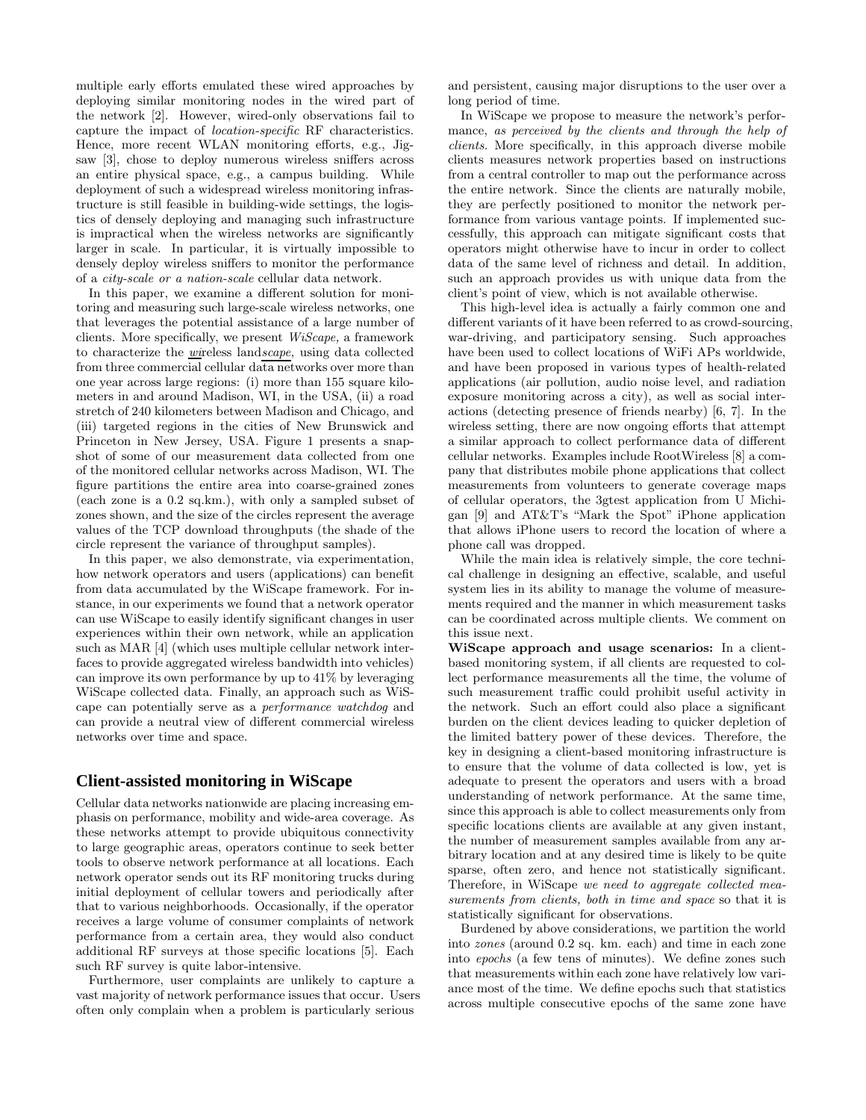multiple early efforts emulated these wired approaches by deploying similar monitoring nodes in the wired part of the network [2]. However, wired-only observations fail to capture the impact of location-specific RF characteristics. Hence, more recent WLAN monitoring efforts, e.g., Jigsaw [3], chose to deploy numerous wireless sniffers across an entire physical space, e.g., a campus building. While deployment of such a widespread wireless monitoring infrastructure is still feasible in building-wide settings, the logistics of densely deploying and managing such infrastructure is impractical when the wireless networks are significantly larger in scale. In particular, it is virtually impossible to densely deploy wireless sniffers to monitor the performance of a city-scale or a nation-scale cellular data network.

In this paper, we examine a different solution for monitoring and measuring such large-scale wireless networks, one that leverages the potential assistance of a large number of clients. More specifically, we present WiScape, a framework to characterize the wireless landscape, using data collected from three commercial cellular data networks over more than one year across large regions: (i) more than 155 square kilometers in and around Madison, WI, in the USA, (ii) a road stretch of 240 kilometers between Madison and Chicago, and (iii) targeted regions in the cities of New Brunswick and Princeton in New Jersey, USA. Figure 1 presents a snapshot of some of our measurement data collected from one of the monitored cellular networks across Madison, WI. The figure partitions the entire area into coarse-grained zones (each zone is a 0.2 sq.km.), with only a sampled subset of zones shown, and the size of the circles represent the average values of the TCP download throughputs (the shade of the circle represent the variance of throughput samples).

In this paper, we also demonstrate, via experimentation, how network operators and users (applications) can benefit from data accumulated by the WiScape framework. For instance, in our experiments we found that a network operator can use WiScape to easily identify significant changes in user experiences within their own network, while an application such as MAR [4] (which uses multiple cellular network interfaces to provide aggregated wireless bandwidth into vehicles) can improve its own performance by up to 41% by leveraging WiScape collected data. Finally, an approach such as WiScape can potentially serve as a performance watchdog and can provide a neutral view of different commercial wireless networks over time and space.

## **Client-assisted monitoring in WiScape**

Cellular data networks nationwide are placing increasing emphasis on performance, mobility and wide-area coverage. As these networks attempt to provide ubiquitous connectivity to large geographic areas, operators continue to seek better tools to observe network performance at all locations. Each network operator sends out its RF monitoring trucks during initial deployment of cellular towers and periodically after that to various neighborhoods. Occasionally, if the operator receives a large volume of consumer complaints of network performance from a certain area, they would also conduct additional RF surveys at those specific locations [5]. Each such RF survey is quite labor-intensive.

Furthermore, user complaints are unlikely to capture a vast majority of network performance issues that occur. Users often only complain when a problem is particularly serious

and persistent, causing major disruptions to the user over a long period of time.

In WiScape we propose to measure the network's performance, as perceived by the clients and through the help of clients. More specifically, in this approach diverse mobile clients measures network properties based on instructions from a central controller to map out the performance across the entire network. Since the clients are naturally mobile, they are perfectly positioned to monitor the network performance from various vantage points. If implemented successfully, this approach can mitigate significant costs that operators might otherwise have to incur in order to collect data of the same level of richness and detail. In addition, such an approach provides us with unique data from the client's point of view, which is not available otherwise.

This high-level idea is actually a fairly common one and different variants of it have been referred to as crowd-sourcing, war-driving, and participatory sensing. Such approaches have been used to collect locations of WiFi APs worldwide, and have been proposed in various types of health-related applications (air pollution, audio noise level, and radiation exposure monitoring across a city), as well as social interactions (detecting presence of friends nearby) [6, 7]. In the wireless setting, there are now ongoing efforts that attempt a similar approach to collect performance data of different cellular networks. Examples include RootWireless [8] a company that distributes mobile phone applications that collect measurements from volunteers to generate coverage maps of cellular operators, the 3gtest application from U Michigan [9] and AT&T's "Mark the Spot" iPhone application that allows iPhone users to record the location of where a phone call was dropped.

While the main idea is relatively simple, the core technical challenge in designing an effective, scalable, and useful system lies in its ability to manage the volume of measurements required and the manner in which measurement tasks can be coordinated across multiple clients. We comment on this issue next.

WiScape approach and usage scenarios: In a clientbased monitoring system, if all clients are requested to collect performance measurements all the time, the volume of such measurement traffic could prohibit useful activity in the network. Such an effort could also place a significant burden on the client devices leading to quicker depletion of the limited battery power of these devices. Therefore, the key in designing a client-based monitoring infrastructure is to ensure that the volume of data collected is low, yet is adequate to present the operators and users with a broad understanding of network performance. At the same time, since this approach is able to collect measurements only from specific locations clients are available at any given instant, the number of measurement samples available from any arbitrary location and at any desired time is likely to be quite sparse, often zero, and hence not statistically significant. Therefore, in WiScape we need to aggregate collected measurements from clients, both in time and space so that it is statistically significant for observations.

Burdened by above considerations, we partition the world into zones (around 0.2 sq. km. each) and time in each zone into epochs (a few tens of minutes). We define zones such that measurements within each zone have relatively low variance most of the time. We define epochs such that statistics across multiple consecutive epochs of the same zone have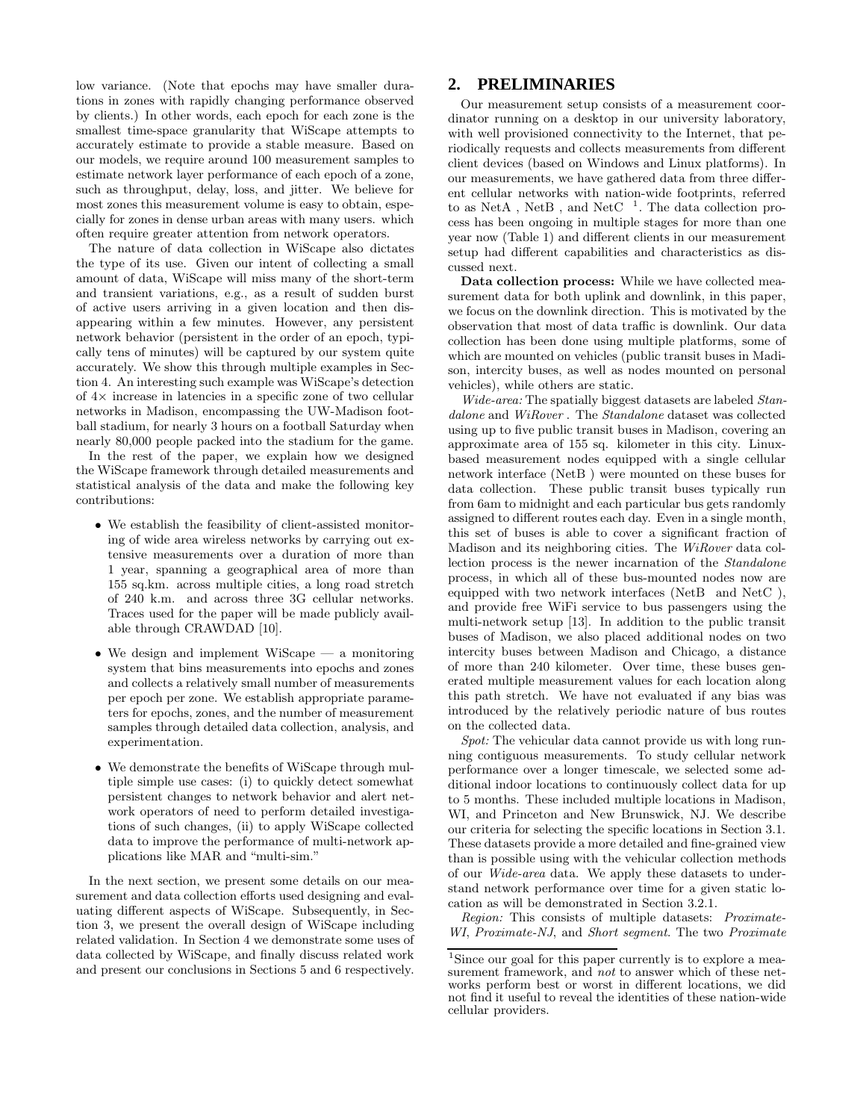low variance. (Note that epochs may have smaller durations in zones with rapidly changing performance observed by clients.) In other words, each epoch for each zone is the smallest time-space granularity that WiScape attempts to accurately estimate to provide a stable measure. Based on our models, we require around 100 measurement samples to estimate network layer performance of each epoch of a zone, such as throughput, delay, loss, and jitter. We believe for most zones this measurement volume is easy to obtain, especially for zones in dense urban areas with many users. which often require greater attention from network operators.

The nature of data collection in WiScape also dictates the type of its use. Given our intent of collecting a small amount of data, WiScape will miss many of the short-term and transient variations, e.g., as a result of sudden burst of active users arriving in a given location and then disappearing within a few minutes. However, any persistent network behavior (persistent in the order of an epoch, typically tens of minutes) will be captured by our system quite accurately. We show this through multiple examples in Section 4. An interesting such example was WiScape's detection of  $4\times$  increase in latencies in a specific zone of two cellular networks in Madison, encompassing the UW-Madison football stadium, for nearly 3 hours on a football Saturday when nearly 80,000 people packed into the stadium for the game.

In the rest of the paper, we explain how we designed the WiScape framework through detailed measurements and statistical analysis of the data and make the following key contributions:

- We establish the feasibility of client-assisted monitoring of wide area wireless networks by carrying out extensive measurements over a duration of more than 1 year, spanning a geographical area of more than 155 sq.km. across multiple cities, a long road stretch of 240 k.m. and across three 3G cellular networks. Traces used for the paper will be made publicly available through CRAWDAD [10].
- We design and implement WiScape a monitoring system that bins measurements into epochs and zones and collects a relatively small number of measurements per epoch per zone. We establish appropriate parameters for epochs, zones, and the number of measurement samples through detailed data collection, analysis, and experimentation.
- We demonstrate the benefits of WiScape through multiple simple use cases: (i) to quickly detect somewhat persistent changes to network behavior and alert network operators of need to perform detailed investigations of such changes, (ii) to apply WiScape collected data to improve the performance of multi-network applications like MAR and "multi-sim."

In the next section, we present some details on our measurement and data collection efforts used designing and evaluating different aspects of WiScape. Subsequently, in Section 3, we present the overall design of WiScape including related validation. In Section 4 we demonstrate some uses of data collected by WiScape, and finally discuss related work and present our conclusions in Sections 5 and 6 respectively.

## **2. PRELIMINARIES**

Our measurement setup consists of a measurement coordinator running on a desktop in our university laboratory, with well provisioned connectivity to the Internet, that periodically requests and collects measurements from different client devices (based on Windows and Linux platforms). In our measurements, we have gathered data from three different cellular networks with nation-wide footprints, referred to as NetA, NetB, and NetC $^{-1}$ . The data collection process has been ongoing in multiple stages for more than one year now (Table 1) and different clients in our measurement setup had different capabilities and characteristics as discussed next.

Data collection process: While we have collected measurement data for both uplink and downlink, in this paper, we focus on the downlink direction. This is motivated by the observation that most of data traffic is downlink. Our data collection has been done using multiple platforms, some of which are mounted on vehicles (public transit buses in Madison, intercity buses, as well as nodes mounted on personal vehicles), while others are static.

Wide-area: The spatially biggest datasets are labeled Standalone and WiRover. The Standalone dataset was collected using up to five public transit buses in Madison, covering an approximate area of 155 sq. kilometer in this city. Linuxbased measurement nodes equipped with a single cellular network interface (NetB ) were mounted on these buses for data collection. These public transit buses typically run from 6am to midnight and each particular bus gets randomly assigned to different routes each day. Even in a single month, this set of buses is able to cover a significant fraction of Madison and its neighboring cities. The WiRover data collection process is the newer incarnation of the Standalone process, in which all of these bus-mounted nodes now are equipped with two network interfaces (NetB and NetC ), and provide free WiFi service to bus passengers using the multi-network setup [13]. In addition to the public transit buses of Madison, we also placed additional nodes on two intercity buses between Madison and Chicago, a distance of more than 240 kilometer. Over time, these buses generated multiple measurement values for each location along this path stretch. We have not evaluated if any bias was introduced by the relatively periodic nature of bus routes on the collected data.

Spot: The vehicular data cannot provide us with long running contiguous measurements. To study cellular network performance over a longer timescale, we selected some additional indoor locations to continuously collect data for up to 5 months. These included multiple locations in Madison, WI, and Princeton and New Brunswick, NJ. We describe our criteria for selecting the specific locations in Section 3.1. These datasets provide a more detailed and fine-grained view than is possible using with the vehicular collection methods of our Wide-area data. We apply these datasets to understand network performance over time for a given static location as will be demonstrated in Section 3.2.1.

Region: This consists of multiple datasets: Proximate-WI, Proximate-NJ, and Short segment. The two Proximate

<sup>&</sup>lt;sup>1</sup>Since our goal for this paper currently is to explore a measurement framework, and *not* to answer which of these networks perform best or worst in different locations, we did not find it useful to reveal the identities of these nation-wide cellular providers.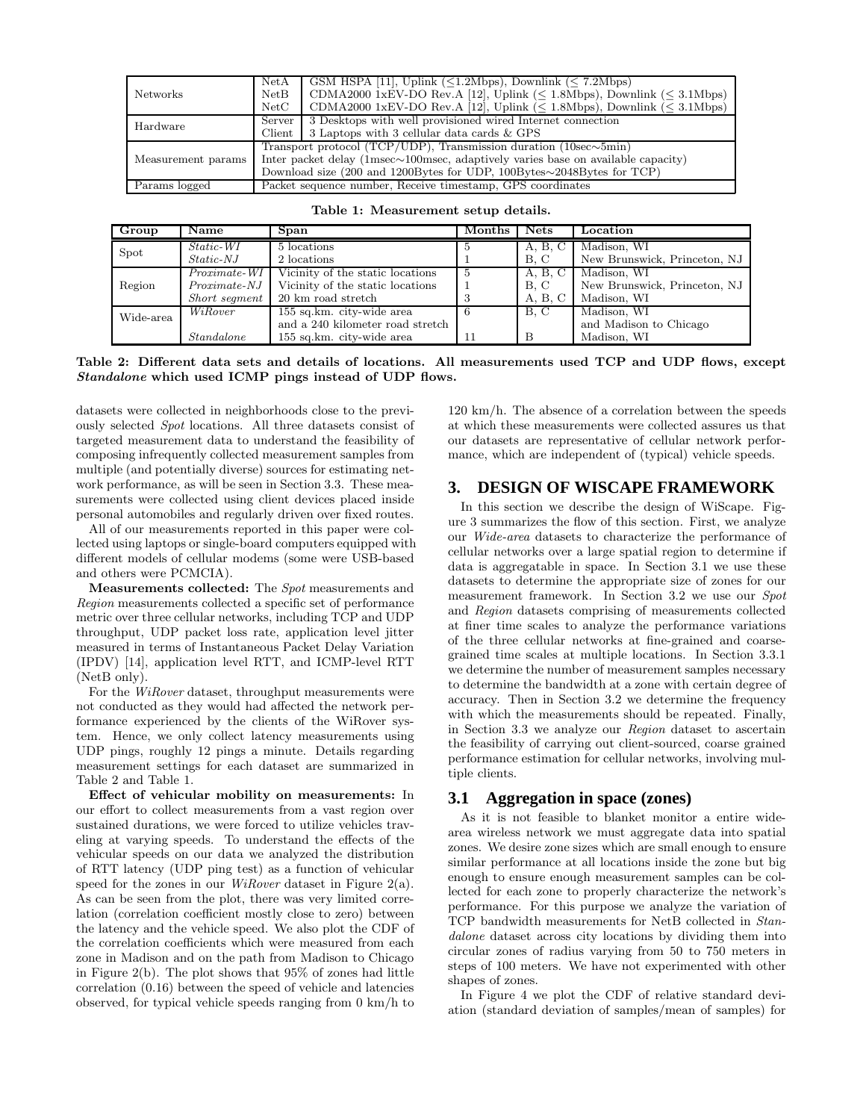| <b>Networks</b>    | NetA<br>NetB<br>${\rm NetC}$                                                                                                                                       | GSM HSPA [11], Uplink $(\leq 1.2Mbps)$ , Downlink $(\leq 7.2Mbps)$<br>CDMA2000 1xEV-DO Rev.A [12], Uplink ( $\leq$ 1.8Mbps), Downlink ( $\leq$ 3.1Mbps)<br>CDMA2000 1xEV-DO Rev.A [12], Uplink $(< 1.8Mbps)$ , Downlink $(< 3.1Mbps)$ |  |  |  |
|--------------------|--------------------------------------------------------------------------------------------------------------------------------------------------------------------|---------------------------------------------------------------------------------------------------------------------------------------------------------------------------------------------------------------------------------------|--|--|--|
| Hardware           | Server                                                                                                                                                             | 3 Desktops with well provisioned wired Internet connection                                                                                                                                                                            |  |  |  |
|                    |                                                                                                                                                                    | Client   3 Laptops with 3 cellular data cards $\&$ GPS                                                                                                                                                                                |  |  |  |
|                    | Transport protocol (TCP/UDP), Transmission duration (10sec $\sim$ 5min)<br>Inter packet delay (1msec $\sim$ 100msec, adaptively varies base on available capacity) |                                                                                                                                                                                                                                       |  |  |  |
| Measurement params |                                                                                                                                                                    |                                                                                                                                                                                                                                       |  |  |  |
|                    | Download size (200 and 1200Bytes for UDP, $100By$ tes $\sim$ 2048Bytes for TCP)                                                                                    |                                                                                                                                                                                                                                       |  |  |  |
| Params logged      | Packet sequence number, Receive timestamp, GPS coordinates                                                                                                         |                                                                                                                                                                                                                                       |  |  |  |

| Group               | Name           | Span                             | Months | <b>Nets</b> | Location                     |
|---------------------|----------------|----------------------------------|--------|-------------|------------------------------|
|                     | Static-WI      | 5 locations                      |        | A, B, C     | Madison, WI                  |
| Spot<br>$Static-NJ$ |                | 2 locations                      |        | <b>B. C</b> | New Brunswick, Princeton, NJ |
|                     | $Proximate-WI$ | Vicinity of the static locations | -5     | A, B, C     | Madison, WI                  |
| Region              | $Proximate-NJ$ | Vicinity of the static locations |        | <b>B. C</b> | New Brunswick, Princeton, NJ |
|                     | Short seqment  | 20 km road stretch               |        | A, B, C     | Madison, WI                  |
| Wide-area           | WiRover        | 155 sq.km. city-wide area        | -6     | <b>B. C</b> | Madison, WI                  |
|                     |                | and a 240 kilometer road stretch |        |             | and Madison to Chicago       |
|                     | Standalone     | 155 sq.km. city-wide area        | 11     | в           | Madison, WI                  |

Table 2: Different data sets and details of locations. All measurements used TCP and UDP flows, except Standalone which used ICMP pings instead of UDP flows.

datasets were collected in neighborhoods close to the previously selected Spot locations. All three datasets consist of targeted measurement data to understand the feasibility of composing infrequently collected measurement samples from multiple (and potentially diverse) sources for estimating network performance, as will be seen in Section 3.3. These measurements were collected using client devices placed inside personal automobiles and regularly driven over fixed routes.

All of our measurements reported in this paper were collected using laptops or single-board computers equipped with different models of cellular modems (some were USB-based and others were PCMCIA).

Measurements collected: The Spot measurements and Region measurements collected a specific set of performance metric over three cellular networks, including TCP and UDP throughput, UDP packet loss rate, application level jitter measured in terms of Instantaneous Packet Delay Variation (IPDV) [14], application level RTT, and ICMP-level RTT (NetB only).

For the WiRover dataset, throughput measurements were not conducted as they would had affected the network performance experienced by the clients of the WiRover system. Hence, we only collect latency measurements using UDP pings, roughly 12 pings a minute. Details regarding measurement settings for each dataset are summarized in Table 2 and Table 1.

Effect of vehicular mobility on measurements: In our effort to collect measurements from a vast region over sustained durations, we were forced to utilize vehicles traveling at varying speeds. To understand the effects of the vehicular speeds on our data we analyzed the distribution of RTT latency (UDP ping test) as a function of vehicular speed for the zones in our *WiRover* dataset in Figure 2(a). As can be seen from the plot, there was very limited correlation (correlation coefficient mostly close to zero) between the latency and the vehicle speed. We also plot the CDF of the correlation coefficients which were measured from each zone in Madison and on the path from Madison to Chicago in Figure 2(b). The plot shows that 95% of zones had little correlation (0.16) between the speed of vehicle and latencies observed, for typical vehicle speeds ranging from 0 km/h to

120 km/h. The absence of a correlation between the speeds at which these measurements were collected assures us that our datasets are representative of cellular network performance, which are independent of (typical) vehicle speeds.

## **3. DESIGN OF WISCAPE FRAMEWORK**

In this section we describe the design of WiScape. Figure 3 summarizes the flow of this section. First, we analyze our Wide-area datasets to characterize the performance of cellular networks over a large spatial region to determine if data is aggregatable in space. In Section 3.1 we use these datasets to determine the appropriate size of zones for our measurement framework. In Section 3.2 we use our Spot and Region datasets comprising of measurements collected at finer time scales to analyze the performance variations of the three cellular networks at fine-grained and coarsegrained time scales at multiple locations. In Section 3.3.1 we determine the number of measurement samples necessary to determine the bandwidth at a zone with certain degree of accuracy. Then in Section 3.2 we determine the frequency with which the measurements should be repeated. Finally, in Section 3.3 we analyze our Region dataset to ascertain the feasibility of carrying out client-sourced, coarse grained performance estimation for cellular networks, involving multiple clients.

#### **3.1 Aggregation in space (zones)**

As it is not feasible to blanket monitor a entire widearea wireless network we must aggregate data into spatial zones. We desire zone sizes which are small enough to ensure similar performance at all locations inside the zone but big enough to ensure enough measurement samples can be collected for each zone to properly characterize the network's performance. For this purpose we analyze the variation of TCP bandwidth measurements for NetB collected in Standalone dataset across city locations by dividing them into circular zones of radius varying from 50 to 750 meters in steps of 100 meters. We have not experimented with other shapes of zones.

In Figure 4 we plot the CDF of relative standard deviation (standard deviation of samples/mean of samples) for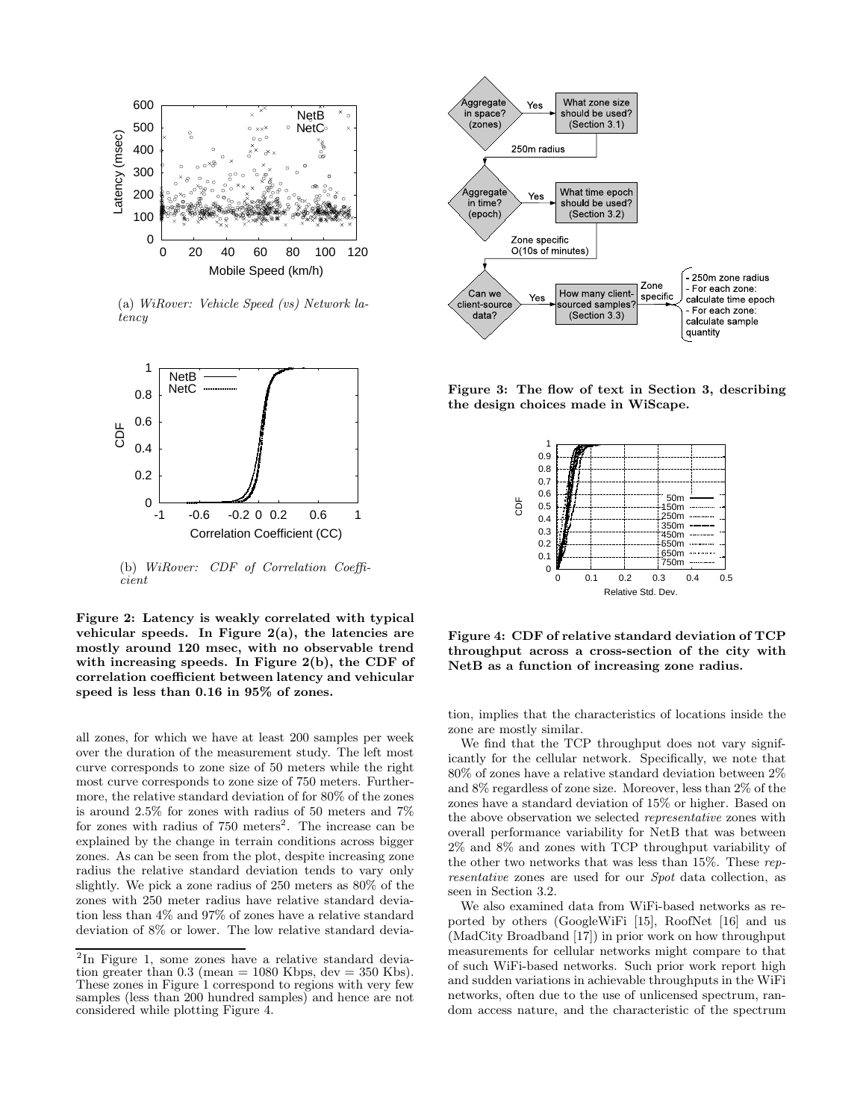

(a) WiRover: Vehicle Speed (vs) Network latency



(b) WiRover: CDF of Correlation Coefficient

Figure 2: Latency is weakly correlated with typical vehicular speeds. In Figure  $2(a)$ , the latencies are mostly around 120 msec, with no observable trend with increasing speeds. In Figure 2(b), the CDF of correlation coefficient between latency and vehicular speed is less than 0.16 in 95% of zones.

all zones, for which we have at least 200 samples per week over the duration of the measurement study. The left most curve corresponds to zone size of 50 meters while the right most curve corresponds to zone size of 750 meters. Furthermore, the relative standard deviation of for 80% of the zones is around 2.5% for zones with radius of 50 meters and 7% for zones with radius of 750 meters<sup>2</sup>. The increase can be explained by the change in terrain conditions across bigger zones. As can be seen from the plot, despite increasing zone radius the relative standard deviation tends to vary only slightly. We pick a zone radius of 250 meters as 80% of the zones with 250 meter radius have relative standard deviation less than 4% and 97% of zones have a relative standard deviation of 8% or lower. The low relative standard devia-



Figure 3: The flow of text in Section 3, describing the design choices made in WiScape.



Figure 4: CDF of relative standard deviation of TCP throughput across a cross-section of the city with NetB as a function of increasing zone radius.

tion, implies that the characteristics of locations inside the zone are mostly similar.

We find that the TCP throughput does not vary significantly for the cellular network. Specifically, we note that 80% of zones have a relative standard deviation between 2% and 8% regardless of zone size. Moreover, less than 2% of the zones have a standard deviation of 15% or higher. Based on the above observation we selected representative zones with overall performance variability for NetB that was between 2% and 8% and zones with TCP throughput variability of the other two networks that was less than 15%. These representative zones are used for our Spot data collection, as seen in Section 3.2.

We also examined data from WiFi-based networks as reported by others (GoogleWiFi [15], RoofNet [16] and us (MadCity Broadband [17]) in prior work on how throughput measurements for cellular networks might compare to that of such WiFi-based networks. Such prior work report high and sudden variations in achievable throughputs in the WiFi networks, often due to the use of unlicensed spectrum, random access nature, and the characteristic of the spectrum

<sup>&</sup>lt;sup>2</sup>In Figure 1, some zones have a relative standard deviation greater than  $0.3$  (mean = 1080 Kbps, dev = 350 Kbs). These zones in Figure 1 correspond to regions with very few samples (less than 200 hundred samples) and hence are not considered while plotting Figure 4.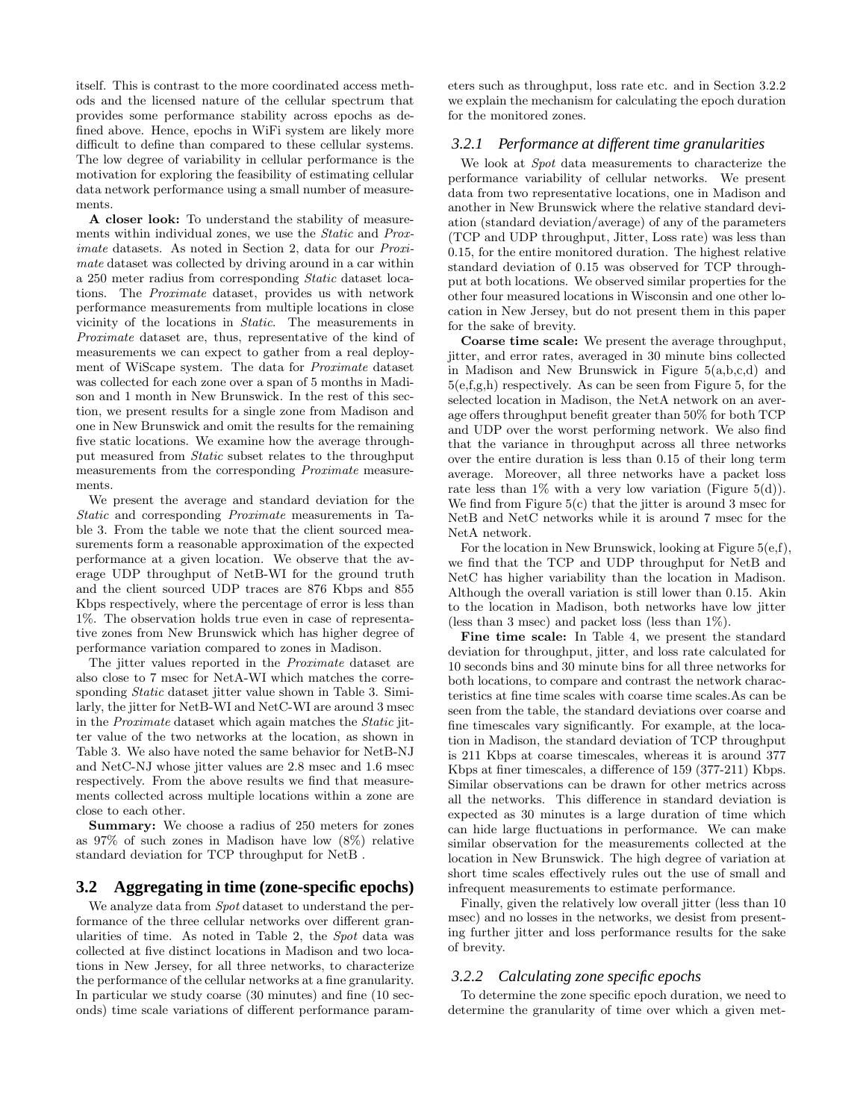itself. This is contrast to the more coordinated access methods and the licensed nature of the cellular spectrum that provides some performance stability across epochs as defined above. Hence, epochs in WiFi system are likely more difficult to define than compared to these cellular systems. The low degree of variability in cellular performance is the motivation for exploring the feasibility of estimating cellular data network performance using a small number of measurements.

A closer look: To understand the stability of measurements within individual zones, we use the Static and Proximate datasets. As noted in Section 2, data for our Proximate dataset was collected by driving around in a car within a 250 meter radius from corresponding Static dataset locations. The Proximate dataset, provides us with network performance measurements from multiple locations in close vicinity of the locations in Static. The measurements in Proximate dataset are, thus, representative of the kind of measurements we can expect to gather from a real deployment of WiScape system. The data for Proximate dataset was collected for each zone over a span of 5 months in Madison and 1 month in New Brunswick. In the rest of this section, we present results for a single zone from Madison and one in New Brunswick and omit the results for the remaining five static locations. We examine how the average throughput measured from Static subset relates to the throughput measurements from the corresponding Proximate measurements.

We present the average and standard deviation for the Static and corresponding Proximate measurements in Table 3. From the table we note that the client sourced measurements form a reasonable approximation of the expected performance at a given location. We observe that the average UDP throughput of NetB-WI for the ground truth and the client sourced UDP traces are 876 Kbps and 855 Kbps respectively, where the percentage of error is less than 1%. The observation holds true even in case of representative zones from New Brunswick which has higher degree of performance variation compared to zones in Madison.

The jitter values reported in the Proximate dataset are also close to 7 msec for NetA-WI which matches the corresponding Static dataset jitter value shown in Table 3. Similarly, the jitter for NetB-WI and NetC-WI are around 3 msec in the Proximate dataset which again matches the Static jitter value of the two networks at the location, as shown in Table 3. We also have noted the same behavior for NetB-NJ and NetC-NJ whose jitter values are 2.8 msec and 1.6 msec respectively. From the above results we find that measurements collected across multiple locations within a zone are close to each other.

Summary: We choose a radius of 250 meters for zones as 97% of such zones in Madison have low (8%) relative standard deviation for TCP throughput for NetB .

## **3.2 Aggregating in time (zone-specific epochs)**

We analyze data from *Spot* dataset to understand the performance of the three cellular networks over different granularities of time. As noted in Table 2, the Spot data was collected at five distinct locations in Madison and two locations in New Jersey, for all three networks, to characterize the performance of the cellular networks at a fine granularity. In particular we study coarse (30 minutes) and fine (10 seconds) time scale variations of different performance parameters such as throughput, loss rate etc. and in Section 3.2.2 we explain the mechanism for calculating the epoch duration for the monitored zones.

#### *3.2.1 Performance at different time granularities*

We look at Spot data measurements to characterize the performance variability of cellular networks. We present data from two representative locations, one in Madison and another in New Brunswick where the relative standard deviation (standard deviation/average) of any of the parameters (TCP and UDP throughput, Jitter, Loss rate) was less than 0.15, for the entire monitored duration. The highest relative standard deviation of 0.15 was observed for TCP throughput at both locations. We observed similar properties for the other four measured locations in Wisconsin and one other location in New Jersey, but do not present them in this paper for the sake of brevity.

Coarse time scale: We present the average throughput, jitter, and error rates, averaged in 30 minute bins collected in Madison and New Brunswick in Figure 5(a,b,c,d) and 5(e,f,g,h) respectively. As can be seen from Figure 5, for the selected location in Madison, the NetA network on an average offers throughput benefit greater than 50% for both TCP and UDP over the worst performing network. We also find that the variance in throughput across all three networks over the entire duration is less than 0.15 of their long term average. Moreover, all three networks have a packet loss rate less than  $1\%$  with a very low variation (Figure 5(d)). We find from Figure 5(c) that the jitter is around 3 msec for NetB and NetC networks while it is around 7 msec for the NetA network.

For the location in New Brunswick, looking at Figure 5(e,f), we find that the TCP and UDP throughput for NetB and NetC has higher variability than the location in Madison. Although the overall variation is still lower than 0.15. Akin to the location in Madison, both networks have low jitter (less than 3 msec) and packet loss (less than 1%).

Fine time scale: In Table 4, we present the standard deviation for throughput, jitter, and loss rate calculated for 10 seconds bins and 30 minute bins for all three networks for both locations, to compare and contrast the network characteristics at fine time scales with coarse time scales.As can be seen from the table, the standard deviations over coarse and fine timescales vary significantly. For example, at the location in Madison, the standard deviation of TCP throughput is 211 Kbps at coarse timescales, whereas it is around 377 Kbps at finer timescales, a difference of 159 (377-211) Kbps. Similar observations can be drawn for other metrics across all the networks. This difference in standard deviation is expected as 30 minutes is a large duration of time which can hide large fluctuations in performance. We can make similar observation for the measurements collected at the location in New Brunswick. The high degree of variation at short time scales effectively rules out the use of small and infrequent measurements to estimate performance.

Finally, given the relatively low overall jitter (less than 10 msec) and no losses in the networks, we desist from presenting further jitter and loss performance results for the sake of brevity.

#### *3.2.2 Calculating zone specific epochs*

To determine the zone specific epoch duration, we need to determine the granularity of time over which a given met-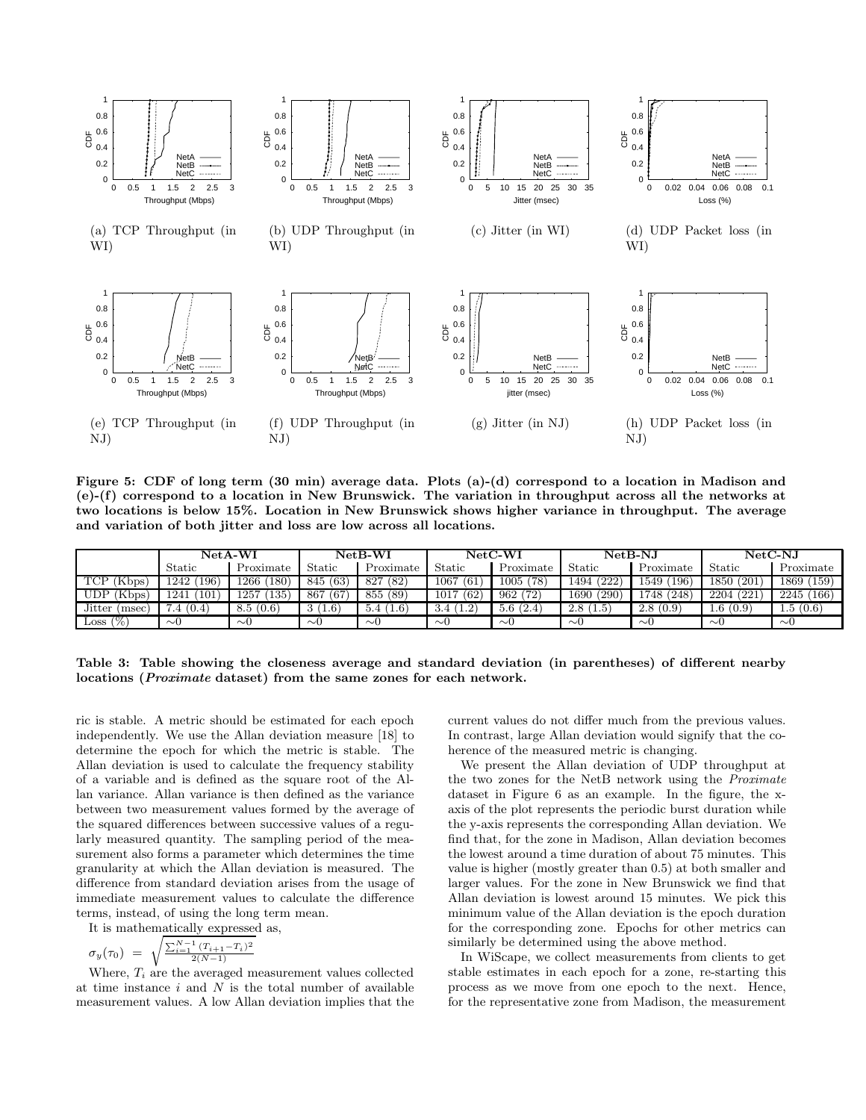

Figure 5: CDF of long term (30 min) average data. Plots (a)-(d) correspond to a location in Madison and (e)-(f) correspond to a location in New Brunswick. The variation in throughput across all the networks at two locations is below 15%. Location in New Brunswick shows higher variance in throughput. The average and variation of both jitter and loss are low across all locations.

|                   | $NetA-WI$               |                         | $NetB-WI$   |              | $NetC-WI$    |             | $NetB-NJ$                  |                          | $NetC-NJ$  |                         |
|-------------------|-------------------------|-------------------------|-------------|--------------|--------------|-------------|----------------------------|--------------------------|------------|-------------------------|
|                   | $\operatorname{Static}$ | Proximate               | Static      | Proximate    | Static       | Proximate   | Static                     | Proximate                | Static     | Proximate               |
| TCP<br>(Kbps)     | 1242<br>(196)           | 1266<br>$^{\prime}180)$ | (63)<br>845 | 827(82)      | 1067<br>61 ( | 1005<br>78  | (222)<br>$1\overline{49}4$ | 1549 (<br><sup>196</sup> | 1850 (201  | 1869(159)               |
| UDP<br>(Kbps)     | 1241<br>(101)           | 1257<br>135)            | 867<br>(67) | 855<br>(89)  | 1017(62)     | 962<br>(72) | 1690<br>(290               | 1748 (248)               | 2204 (221) | $\overline{2245}$ (166) |
| Jitter (<br>(msec | .4(0.4)                 | 8.5(0.6)                | 3<br>1.61   | (1.6)<br>5.4 | 3.4<br>,1.2  | 5.6(2.4)    | 2.8<br>. L.5)              | 2.8<br>(0.9)             | 1.6(0.9)   | $1.\overline{5}$ (0.6)  |
| Loss $(\%)$       | $\sim$ U                | $\sim 0$                | $\sim$ 0    | $\sim$ ()    | $\sim 0$     | $\sim 0$    | $\sim$ ()                  | $\sim 0$                 | $\sim$ ()  | $\sim 0$                |

Table 3: Table showing the closeness average and standard deviation (in parentheses) of different nearby locations (Proximate dataset) from the same zones for each network.

ric is stable. A metric should be estimated for each epoch independently. We use the Allan deviation measure [18] to determine the epoch for which the metric is stable. The Allan deviation is used to calculate the frequency stability of a variable and is defined as the square root of the Allan variance. Allan variance is then defined as the variance between two measurement values formed by the average of the squared differences between successive values of a regularly measured quantity. The sampling period of the measurement also forms a parameter which determines the time granularity at which the Allan deviation is measured. The difference from standard deviation arises from the usage of immediate measurement values to calculate the difference terms, instead, of using the long term mean.

It is mathematically expressed as,

$$
\sigma_y(\tau_0) = \sqrt{\frac{\sum_{i=1}^{N-1} (T_{i+1} - T_i)^2}{2(N-1)}}
$$

Where,  $T_i$  are the averaged measurement values collected at time instance  $i$  and  $N$  is the total number of available measurement values. A low Allan deviation implies that the current values do not differ much from the previous values. In contrast, large Allan deviation would signify that the coherence of the measured metric is changing.

We present the Allan deviation of UDP throughput at the two zones for the NetB network using the Proximate dataset in Figure 6 as an example. In the figure, the xaxis of the plot represents the periodic burst duration while the y-axis represents the corresponding Allan deviation. We find that, for the zone in Madison, Allan deviation becomes the lowest around a time duration of about 75 minutes. This value is higher (mostly greater than 0.5) at both smaller and larger values. For the zone in New Brunswick we find that Allan deviation is lowest around 15 minutes. We pick this minimum value of the Allan deviation is the epoch duration for the corresponding zone. Epochs for other metrics can similarly be determined using the above method.

In WiScape, we collect measurements from clients to get stable estimates in each epoch for a zone, re-starting this process as we move from one epoch to the next. Hence, for the representative zone from Madison, the measurement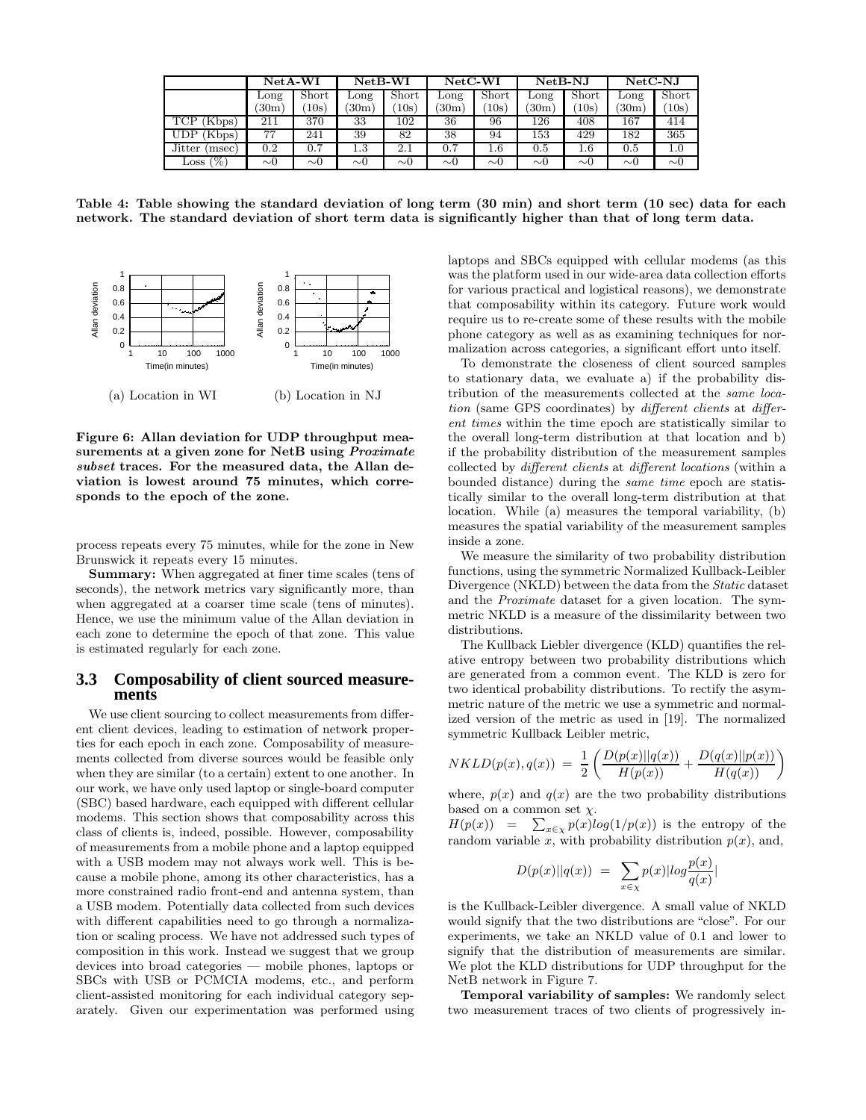|                                      | $NetA-WI$     |          | $NetB-WI$    |          | $NetC-WI$               |          | $NetB-NJ$               |          | $NetC-NJ$               |          |
|--------------------------------------|---------------|----------|--------------|----------|-------------------------|----------|-------------------------|----------|-------------------------|----------|
|                                      | Long          | Short    | $\omega$ ong | Short    | Long                    | Short    | Long                    | Short    | Long                    | Short    |
|                                      | $\rm (30m)$   | (10s)    | $^{'}30m$    | 10s      | $^{\prime}30\mathrm{m}$ | 10s      | $^{\prime}30\mathrm{m}$ | 10s      | $^{\prime}30\mathrm{m}$ | (10s)    |
| $_{\rm TCP}$<br>$_{\rm bDS}$         | 211           | 370      | 33           | 102      | 36                      | 96       | 126                     | 408      | 167                     | 414      |
| $\overline{\rm{Kbps}}$<br><b>UDP</b> | 77            | 241      | 39           | 82       | 38                      | 94       | 153                     | 429      | 182                     | 365      |
| Jitter<br>msec                       | 0.2           | 0.7      | 1.3          | 2.1      | 0.7                     | $1.6\,$  | 0.5                     | 1.6      | 0.5                     | $1.0\,$  |
| %)<br>$_{\rm{Loss}}$                 | $\sim \!\! 0$ | $\sim 0$ | $\sim \! 0$  | $\sim 0$ | $\sim 0$                | $\sim 0$ | $\sim 0$                | $\sim 0$ | $\sim 0$                | $\sim 0$ |

Table 4: Table showing the standard deviation of long term (30 min) and short term (10 sec) data for each network. The standard deviation of short term data is significantly higher than that of long term data.



Figure 6: Allan deviation for UDP throughput measurements at a given zone for NetB using *Proximate* subset traces. For the measured data, the Allan deviation is lowest around 75 minutes, which corresponds to the epoch of the zone.

process repeats every 75 minutes, while for the zone in New Brunswick it repeats every 15 minutes.

Summary: When aggregated at finer time scales (tens of seconds), the network metrics vary significantly more, than when aggregated at a coarser time scale (tens of minutes). Hence, we use the minimum value of the Allan deviation in each zone to determine the epoch of that zone. This value is estimated regularly for each zone.

#### **3.3 Composability of client sourced measurements**

We use client sourcing to collect measurements from different client devices, leading to estimation of network properties for each epoch in each zone. Composability of measurements collected from diverse sources would be feasible only when they are similar (to a certain) extent to one another. In our work, we have only used laptop or single-board computer (SBC) based hardware, each equipped with different cellular modems. This section shows that composability across this class of clients is, indeed, possible. However, composability of measurements from a mobile phone and a laptop equipped with a USB modem may not always work well. This is because a mobile phone, among its other characteristics, has a more constrained radio front-end and antenna system, than a USB modem. Potentially data collected from such devices with different capabilities need to go through a normalization or scaling process. We have not addressed such types of composition in this work. Instead we suggest that we group devices into broad categories — mobile phones, laptops or SBCs with USB or PCMCIA modems, etc., and perform client-assisted monitoring for each individual category separately. Given our experimentation was performed using

laptops and SBCs equipped with cellular modems (as this was the platform used in our wide-area data collection efforts for various practical and logistical reasons), we demonstrate that composability within its category. Future work would require us to re-create some of these results with the mobile phone category as well as as examining techniques for normalization across categories, a significant effort unto itself.

To demonstrate the closeness of client sourced samples to stationary data, we evaluate a) if the probability distribution of the measurements collected at the same location (same GPS coordinates) by different clients at different times within the time epoch are statistically similar to the overall long-term distribution at that location and b) if the probability distribution of the measurement samples collected by different clients at different locations (within a bounded distance) during the same time epoch are statistically similar to the overall long-term distribution at that location. While (a) measures the temporal variability, (b) measures the spatial variability of the measurement samples inside a zone.

We measure the similarity of two probability distribution functions, using the symmetric Normalized Kullback-Leibler Divergence (NKLD) between the data from the Static dataset and the Proximate dataset for a given location. The symmetric NKLD is a measure of the dissimilarity between two distributions.

The Kullback Liebler divergence (KLD) quantifies the relative entropy between two probability distributions which are generated from a common event. The KLD is zero for two identical probability distributions. To rectify the asymmetric nature of the metric we use a symmetric and normalized version of the metric as used in [19]. The normalized symmetric Kullback Leibler metric,

$$
NKLD(p(x), q(x)) = \frac{1}{2} \left( \frac{D(p(x)||q(x))}{H(p(x))} + \frac{D(q(x)||p(x))}{H(q(x))} \right)
$$

where,  $p(x)$  and  $q(x)$  are the two probability distributions based on a common set  $\chi$ .

 $H(p(x)) = \sum_{x \in \chi} p(x) log(1/p(x))$  is the entropy of the random variable x, with probability distribution  $p(x)$ , and,

$$
D(p(x)||q(x)) = \sum_{x \in \chi} p(x)|log \frac{p(x)}{q(x)}|
$$

is the Kullback-Leibler divergence. A small value of NKLD would signify that the two distributions are "close". For our experiments, we take an NKLD value of 0.1 and lower to signify that the distribution of measurements are similar. We plot the KLD distributions for UDP throughput for the NetB network in Figure 7.

Temporal variability of samples: We randomly select two measurement traces of two clients of progressively in-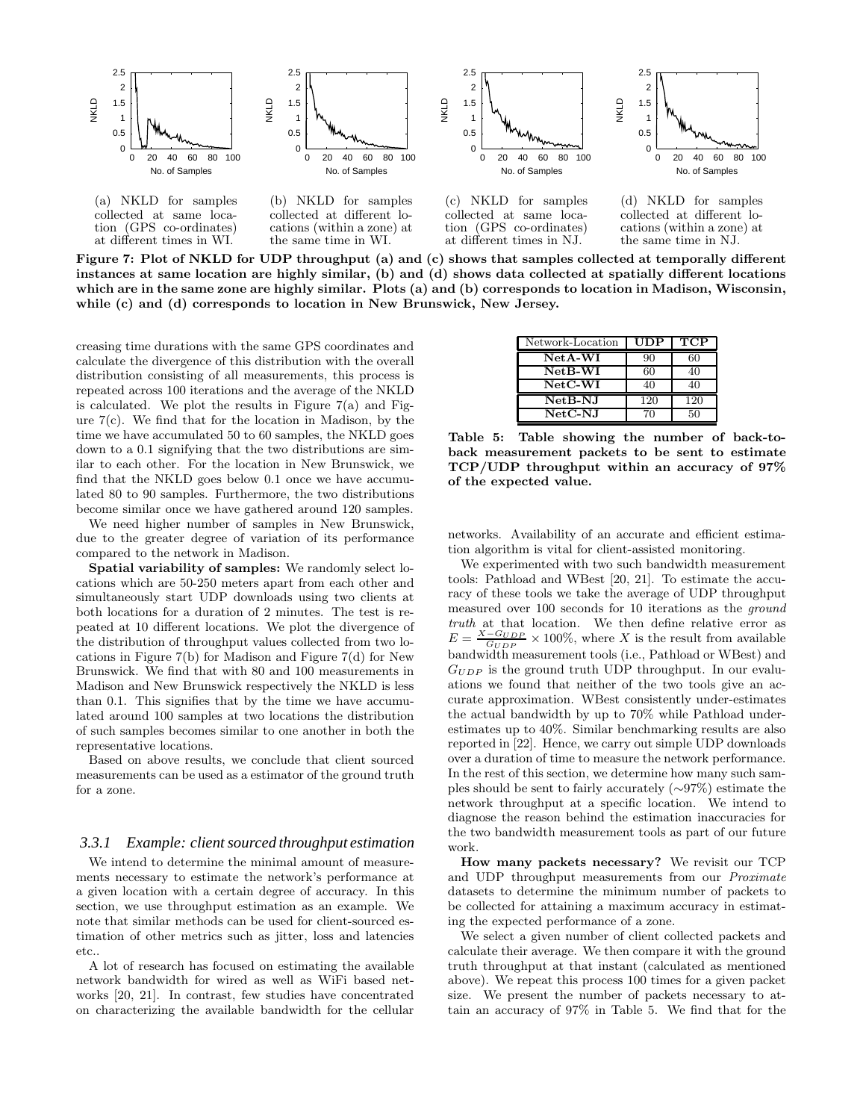

Figure 7: Plot of NKLD for UDP throughput (a) and (c) shows that samples collected at temporally different instances at same location are highly similar, (b) and (d) shows data collected at spatially different locations which are in the same zone are highly similar. Plots (a) and (b) corresponds to location in Madison, Wisconsin, while (c) and (d) corresponds to location in New Brunswick, New Jersey.

creasing time durations with the same GPS coordinates and calculate the divergence of this distribution with the overall distribution consisting of all measurements, this process is repeated across 100 iterations and the average of the NKLD is calculated. We plot the results in Figure 7(a) and Figure  $7(c)$ . We find that for the location in Madison, by the time we have accumulated 50 to 60 samples, the NKLD goes down to a 0.1 signifying that the two distributions are similar to each other. For the location in New Brunswick, we find that the NKLD goes below 0.1 once we have accumulated 80 to 90 samples. Furthermore, the two distributions become similar once we have gathered around 120 samples.

We need higher number of samples in New Brunswick, due to the greater degree of variation of its performance compared to the network in Madison.

Spatial variability of samples: We randomly select locations which are 50-250 meters apart from each other and simultaneously start UDP downloads using two clients at both locations for a duration of 2 minutes. The test is repeated at 10 different locations. We plot the divergence of the distribution of throughput values collected from two locations in Figure 7(b) for Madison and Figure 7(d) for New Brunswick. We find that with 80 and 100 measurements in Madison and New Brunswick respectively the NKLD is less than 0.1. This signifies that by the time we have accumulated around 100 samples at two locations the distribution of such samples becomes similar to one another in both the representative locations.

Based on above results, we conclude that client sourced measurements can be used as a estimator of the ground truth for a zone.

#### *3.3.1 Example: client sourced throughput estimation*

We intend to determine the minimal amount of measurements necessary to estimate the network's performance at a given location with a certain degree of accuracy. In this section, we use throughput estimation as an example. We note that similar methods can be used for client-sourced estimation of other metrics such as jitter, loss and latencies etc..

A lot of research has focused on estimating the available network bandwidth for wired as well as WiFi based networks [20, 21]. In contrast, few studies have concentrated on characterizing the available bandwidth for the cellular

| Network-Location | $\mathbf{U}\mathbf{D}\mathbf{P}$ | TCP |
|------------------|----------------------------------|-----|
| Net A-WI         | 90                               | 60  |
| NetB-WI          | 60                               | 40  |
| $NetC-WI$        | 40                               | 40  |
| $NetB-NJ$        | 120                              | 120 |
| $NetC-NJ$        |                                  |     |

Table 5: Table showing the number of back-toback measurement packets to be sent to estimate TCP/UDP throughput within an accuracy of 97% of the expected value.

networks. Availability of an accurate and efficient estimation algorithm is vital for client-assisted monitoring.

We experimented with two such bandwidth measurement tools: Pathload and WBest [20, 21]. To estimate the accuracy of these tools we take the average of UDP throughput measured over 100 seconds for 10 iterations as the ground truth at that location. We then define relative error as  $E = \frac{X - G_{UDP}}{G_{UDP}} \times 100\%$ , where X is the result from available bandwidth measurement tools (i.e., Pathload or WBest) and  $G_{UDP}$  is the ground truth UDP throughput. In our evaluations we found that neither of the two tools give an accurate approximation. WBest consistently under-estimates the actual bandwidth by up to 70% while Pathload underestimates up to 40%. Similar benchmarking results are also reported in [22]. Hence, we carry out simple UDP downloads over a duration of time to measure the network performance. In the rest of this section, we determine how many such samples should be sent to fairly accurately (∼97%) estimate the network throughput at a specific location. We intend to diagnose the reason behind the estimation inaccuracies for the two bandwidth measurement tools as part of our future work.

How many packets necessary? We revisit our TCP and UDP throughput measurements from our Proximate datasets to determine the minimum number of packets to be collected for attaining a maximum accuracy in estimating the expected performance of a zone.

We select a given number of client collected packets and calculate their average. We then compare it with the ground truth throughput at that instant (calculated as mentioned above). We repeat this process 100 times for a given packet size. We present the number of packets necessary to attain an accuracy of 97% in Table 5. We find that for the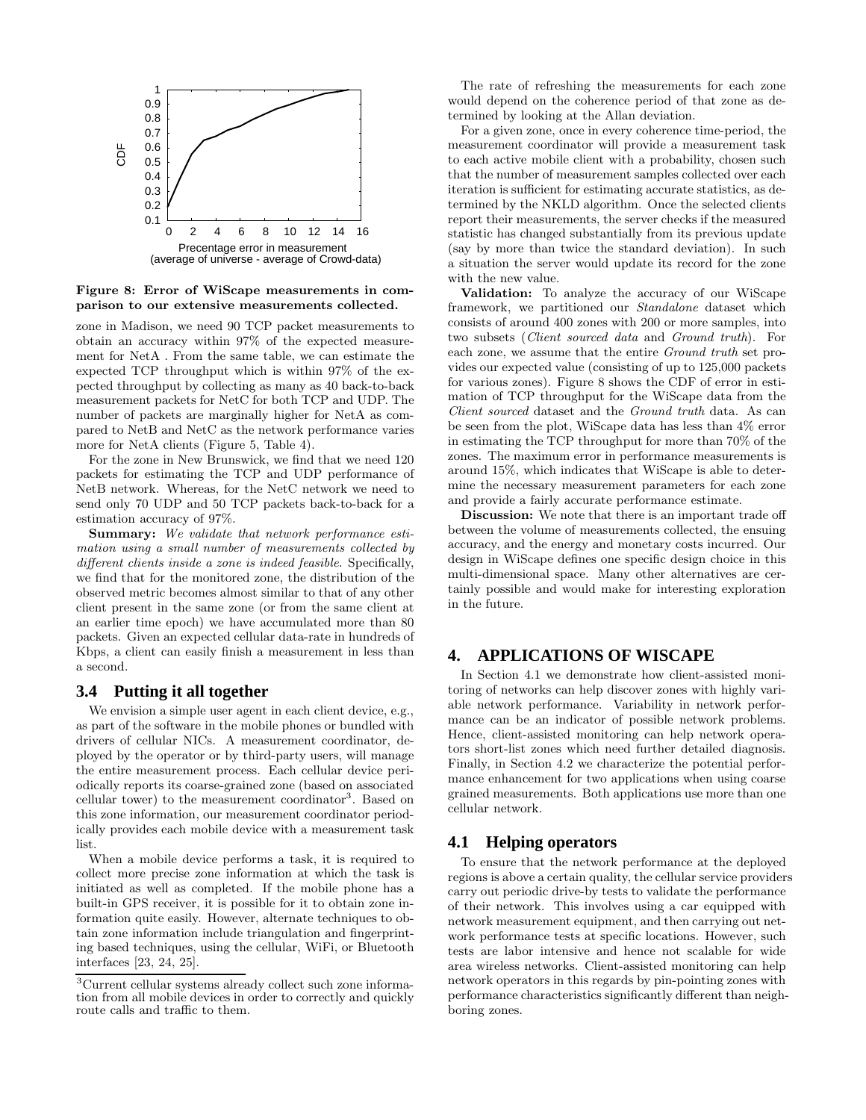

Figure 8: Error of WiScape measurements in comparison to our extensive measurements collected.

zone in Madison, we need 90 TCP packet measurements to obtain an accuracy within 97% of the expected measurement for NetA . From the same table, we can estimate the expected TCP throughput which is within 97% of the expected throughput by collecting as many as 40 back-to-back measurement packets for NetC for both TCP and UDP. The number of packets are marginally higher for NetA as compared to NetB and NetC as the network performance varies more for NetA clients (Figure 5, Table 4).

For the zone in New Brunswick, we find that we need 120 packets for estimating the TCP and UDP performance of NetB network. Whereas, for the NetC network we need to send only 70 UDP and 50 TCP packets back-to-back for a estimation accuracy of 97%.

Summary: We validate that network performance estimation using a small number of measurements collected by different clients inside a zone is indeed feasible. Specifically, we find that for the monitored zone, the distribution of the observed metric becomes almost similar to that of any other client present in the same zone (or from the same client at an earlier time epoch) we have accumulated more than 80 packets. Given an expected cellular data-rate in hundreds of Kbps, a client can easily finish a measurement in less than a second.

## **3.4 Putting it all together**

We envision a simple user agent in each client device, e.g., as part of the software in the mobile phones or bundled with drivers of cellular NICs. A measurement coordinator, deployed by the operator or by third-party users, will manage the entire measurement process. Each cellular device periodically reports its coarse-grained zone (based on associated cellular tower) to the measurement coordinator<sup>3</sup>. Based on this zone information, our measurement coordinator periodically provides each mobile device with a measurement task list.

When a mobile device performs a task, it is required to collect more precise zone information at which the task is initiated as well as completed. If the mobile phone has a built-in GPS receiver, it is possible for it to obtain zone information quite easily. However, alternate techniques to obtain zone information include triangulation and fingerprinting based techniques, using the cellular, WiFi, or Bluetooth interfaces [23, 24, 25].

The rate of refreshing the measurements for each zone would depend on the coherence period of that zone as determined by looking at the Allan deviation.

For a given zone, once in every coherence time-period, the measurement coordinator will provide a measurement task to each active mobile client with a probability, chosen such that the number of measurement samples collected over each iteration is sufficient for estimating accurate statistics, as determined by the NKLD algorithm. Once the selected clients report their measurements, the server checks if the measured statistic has changed substantially from its previous update (say by more than twice the standard deviation). In such a situation the server would update its record for the zone with the new value.

Validation: To analyze the accuracy of our WiScape framework, we partitioned our Standalone dataset which consists of around 400 zones with 200 or more samples, into two subsets (Client sourced data and Ground truth). For each zone, we assume that the entire Ground truth set provides our expected value (consisting of up to 125,000 packets for various zones). Figure 8 shows the CDF of error in estimation of TCP throughput for the WiScape data from the Client sourced dataset and the Ground truth data. As can be seen from the plot, WiScape data has less than 4% error in estimating the TCP throughput for more than 70% of the zones. The maximum error in performance measurements is around 15%, which indicates that WiScape is able to determine the necessary measurement parameters for each zone and provide a fairly accurate performance estimate.

Discussion: We note that there is an important trade off between the volume of measurements collected, the ensuing accuracy, and the energy and monetary costs incurred. Our design in WiScape defines one specific design choice in this multi-dimensional space. Many other alternatives are certainly possible and would make for interesting exploration in the future.

# **4. APPLICATIONS OF WISCAPE**

In Section 4.1 we demonstrate how client-assisted monitoring of networks can help discover zones with highly variable network performance. Variability in network performance can be an indicator of possible network problems. Hence, client-assisted monitoring can help network operators short-list zones which need further detailed diagnosis. Finally, in Section 4.2 we characterize the potential performance enhancement for two applications when using coarse grained measurements. Both applications use more than one cellular network.

## **4.1 Helping operators**

To ensure that the network performance at the deployed regions is above a certain quality, the cellular service providers carry out periodic drive-by tests to validate the performance of their network. This involves using a car equipped with network measurement equipment, and then carrying out network performance tests at specific locations. However, such tests are labor intensive and hence not scalable for wide area wireless networks. Client-assisted monitoring can help network operators in this regards by pin-pointing zones with performance characteristics significantly different than neighboring zones.

<sup>3</sup>Current cellular systems already collect such zone information from all mobile devices in order to correctly and quickly route calls and traffic to them.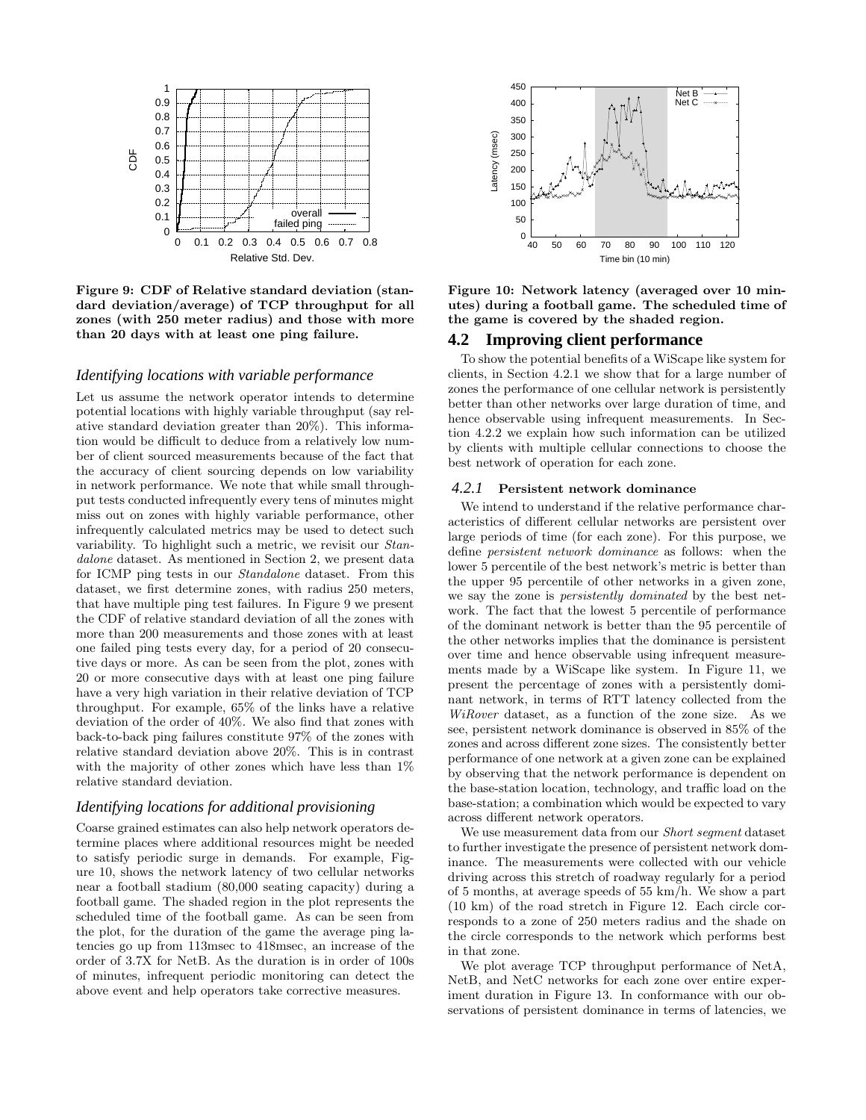

Figure 9: CDF of Relative standard deviation (standard deviation/average) of TCP throughput for all zones (with 250 meter radius) and those with more than 20 days with at least one ping failure.

#### *Identifying locations with variable performance*

Let us assume the network operator intends to determine potential locations with highly variable throughput (say relative standard deviation greater than 20%). This information would be difficult to deduce from a relatively low number of client sourced measurements because of the fact that the accuracy of client sourcing depends on low variability in network performance. We note that while small throughput tests conducted infrequently every tens of minutes might miss out on zones with highly variable performance, other infrequently calculated metrics may be used to detect such variability. To highlight such a metric, we revisit our Standalone dataset. As mentioned in Section 2, we present data for ICMP ping tests in our Standalone dataset. From this dataset, we first determine zones, with radius 250 meters, that have multiple ping test failures. In Figure 9 we present the CDF of relative standard deviation of all the zones with more than 200 measurements and those zones with at least one failed ping tests every day, for a period of 20 consecutive days or more. As can be seen from the plot, zones with 20 or more consecutive days with at least one ping failure have a very high variation in their relative deviation of TCP throughput. For example, 65% of the links have a relative deviation of the order of 40%. We also find that zones with back-to-back ping failures constitute 97% of the zones with relative standard deviation above 20%. This is in contrast with the majority of other zones which have less than  $1\%$ relative standard deviation.

#### *Identifying locations for additional provisioning*

Coarse grained estimates can also help network operators determine places where additional resources might be needed to satisfy periodic surge in demands. For example, Figure 10, shows the network latency of two cellular networks near a football stadium (80,000 seating capacity) during a football game. The shaded region in the plot represents the scheduled time of the football game. As can be seen from the plot, for the duration of the game the average ping latencies go up from 113msec to 418msec, an increase of the order of 3.7X for NetB. As the duration is in order of 100s of minutes, infrequent periodic monitoring can detect the above event and help operators take corrective measures.



Figure 10: Network latency (averaged over 10 minutes) during a football game. The scheduled time of the game is covered by the shaded region.

## **4.2 Improving client performance**

To show the potential benefits of a WiScape like system for clients, in Section 4.2.1 we show that for a large number of zones the performance of one cellular network is persistently better than other networks over large duration of time, and hence observable using infrequent measurements. In Section 4.2.2 we explain how such information can be utilized by clients with multiple cellular connections to choose the best network of operation for each zone.

#### *4.2.1* Persistent network dominance

We intend to understand if the relative performance characteristics of different cellular networks are persistent over large periods of time (for each zone). For this purpose, we define persistent network dominance as follows: when the lower 5 percentile of the best network's metric is better than the upper 95 percentile of other networks in a given zone, we say the zone is persistently dominated by the best network. The fact that the lowest 5 percentile of performance of the dominant network is better than the 95 percentile of the other networks implies that the dominance is persistent over time and hence observable using infrequent measurements made by a WiScape like system. In Figure 11, we present the percentage of zones with a persistently dominant network, in terms of RTT latency collected from the WiRover dataset, as a function of the zone size. As we see, persistent network dominance is observed in 85% of the zones and across different zone sizes. The consistently better performance of one network at a given zone can be explained by observing that the network performance is dependent on the base-station location, technology, and traffic load on the base-station; a combination which would be expected to vary across different network operators.

We use measurement data from our Short segment dataset to further investigate the presence of persistent network dominance. The measurements were collected with our vehicle driving across this stretch of roadway regularly for a period of 5 months, at average speeds of 55 km/h. We show a part (10 km) of the road stretch in Figure 12. Each circle corresponds to a zone of 250 meters radius and the shade on the circle corresponds to the network which performs best in that zone.

We plot average TCP throughput performance of NetA, NetB, and NetC networks for each zone over entire experiment duration in Figure 13. In conformance with our observations of persistent dominance in terms of latencies, we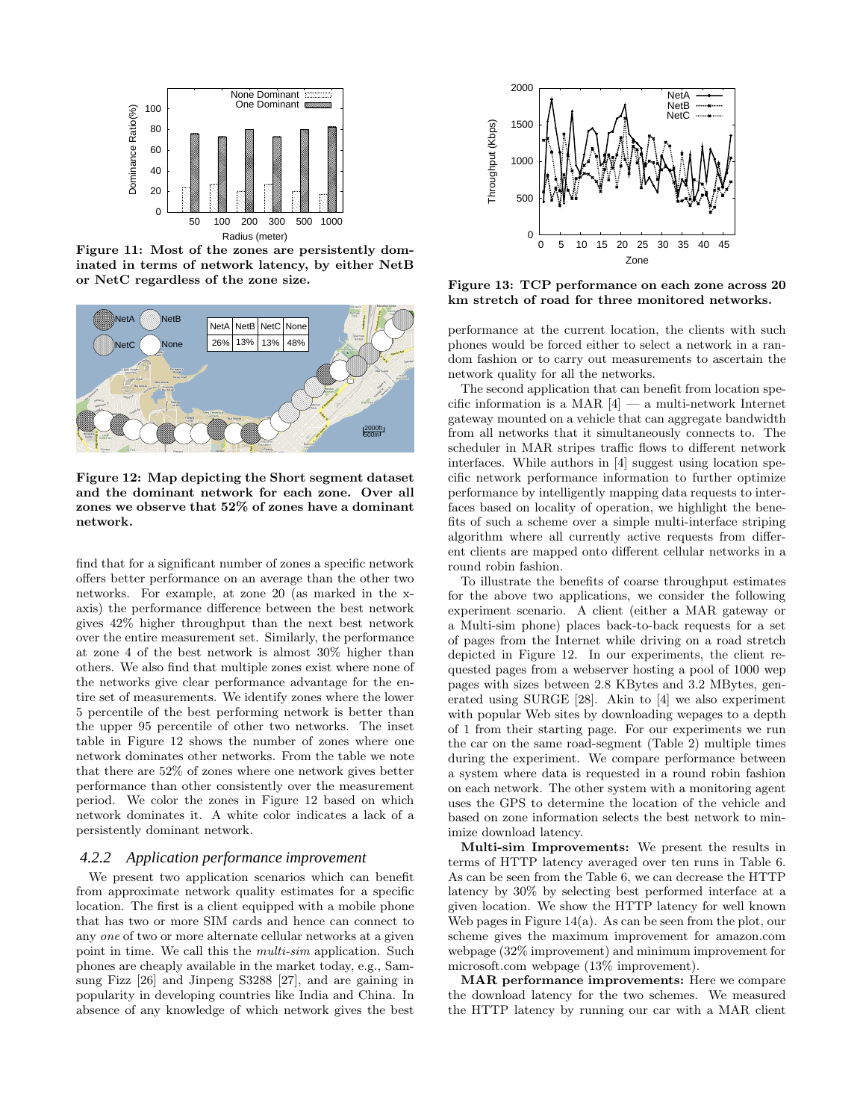

Figure 11: Most of the zones are persistently dominated in terms of network latency, by either NetB or NetC regardless of the zone size.



Figure 12: Map depicting the Short segment dataset and the dominant network for each zone. Over all zones we observe that 52% of zones have a dominant network.

find that for a significant number of zones a specific network offers better performance on an average than the other two networks. For example, at zone 20 (as marked in the xaxis) the performance difference between the best network gives 42% higher throughput than the next best network over the entire measurement set. Similarly, the performance at zone 4 of the best network is almost 30% higher than others. We also find that multiple zones exist where none of the networks give clear performance advantage for the entire set of measurements. We identify zones where the lower 5 percentile of the best performing network is better than the upper 95 percentile of other two networks. The inset table in Figure 12 shows the number of zones where one network dominates other networks. From the table we note that there are 52% of zones where one network gives better performance than other consistently over the measurement period. We color the zones in Figure 12 based on which network dominates it. A white color indicates a lack of a persistently dominant network.

#### *4.2.2 Application performance improvement*

We present two application scenarios which can benefit from approximate network quality estimates for a specific location. The first is a client equipped with a mobile phone that has two or more SIM cards and hence can connect to any one of two or more alternate cellular networks at a given point in time. We call this the multi-sim application. Such phones are cheaply available in the market today, e.g., Samsung Fizz [26] and Jinpeng S3288 [27], and are gaining in popularity in developing countries like India and China. In absence of any knowledge of which network gives the best



Figure 13: TCP performance on each zone across 20 km stretch of road for three monitored networks.

performance at the current location, the clients with such phones would be forced either to select a network in a random fashion or to carry out measurements to ascertain the network quality for all the networks.

The second application that can benefit from location specific information is a MAR  $[4]$  — a multi-network Internet gateway mounted on a vehicle that can aggregate bandwidth from all networks that it simultaneously connects to. The scheduler in MAR stripes traffic flows to different network interfaces. While authors in [4] suggest using location specific network performance information to further optimize performance by intelligently mapping data requests to interfaces based on locality of operation, we highlight the benefits of such a scheme over a simple multi-interface striping algorithm where all currently active requests from different clients are mapped onto different cellular networks in a round robin fashion.

To illustrate the benefits of coarse throughput estimates for the above two applications, we consider the following experiment scenario. A client (either a MAR gateway or a Multi-sim phone) places back-to-back requests for a set of pages from the Internet while driving on a road stretch depicted in Figure 12. In our experiments, the client requested pages from a webserver hosting a pool of 1000 wep pages with sizes between 2.8 KBytes and 3.2 MBytes, generated using SURGE [28]. Akin to [4] we also experiment with popular Web sites by downloading wepages to a depth of 1 from their starting page. For our experiments we run the car on the same road-segment (Table 2) multiple times during the experiment. We compare performance between a system where data is requested in a round robin fashion on each network. The other system with a monitoring agent uses the GPS to determine the location of the vehicle and based on zone information selects the best network to minimize download latency.

Multi-sim Improvements: We present the results in terms of HTTP latency averaged over ten runs in Table 6. As can be seen from the Table 6, we can decrease the HTTP latency by 30% by selecting best performed interface at a given location. We show the HTTP latency for well known Web pages in Figure 14(a). As can be seen from the plot, our scheme gives the maximum improvement for amazon.com webpage (32% improvement) and minimum improvement for microsoft.com webpage (13% improvement).

MAR performance improvements: Here we compare the download latency for the two schemes. We measured the HTTP latency by running our car with a MAR client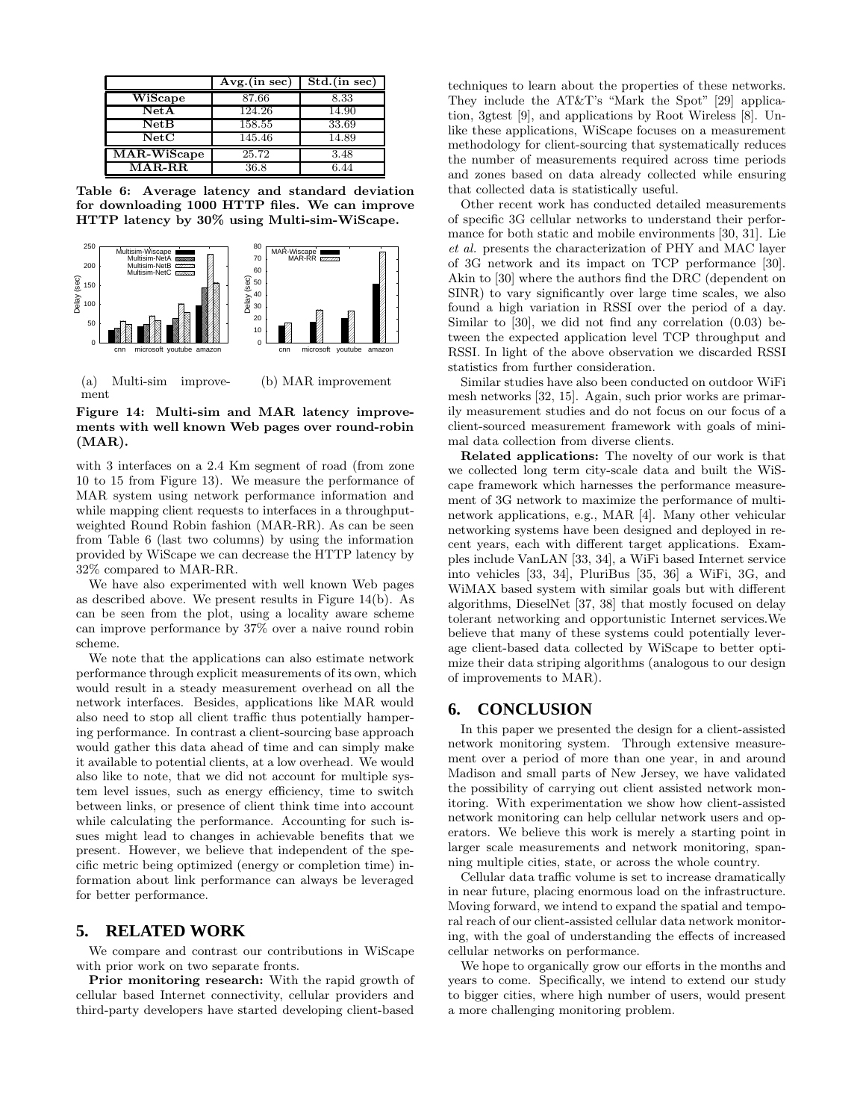|                           | Avg.(in sec) | Std.(in sec) |
|---------------------------|--------------|--------------|
| WiScape                   | 87.66        | 8.33         |
| $\operatorname{\bf NetA}$ | 124.26       | 14.90        |
| $\operatorname{\bf NetB}$ | 158.55       | 33.69        |
| ${\bf NetC}$              | 145.46       | 14.89        |
| MAR-WiScape               | 25.72        | 3.48         |
| $\rm MAR\text{-}RR$       | 36.8         | 6.44         |

Table 6: Average latency and standard deviation for downloading 1000 HTTP files. We can improve HTTP latency by 30% using Multi-sim-WiScape.



(a) Multi-sim improvement (b) MAR improvement

#### Figure 14: Multi-sim and MAR latency improvements with well known Web pages over round-robin (MAR).

with 3 interfaces on a 2.4 Km segment of road (from zone 10 to 15 from Figure 13). We measure the performance of MAR system using network performance information and while mapping client requests to interfaces in a throughputweighted Round Robin fashion (MAR-RR). As can be seen from Table 6 (last two columns) by using the information provided by WiScape we can decrease the HTTP latency by 32% compared to MAR-RR.

We have also experimented with well known Web pages as described above. We present results in Figure 14(b). As can be seen from the plot, using a locality aware scheme can improve performance by 37% over a naive round robin scheme.

We note that the applications can also estimate network performance through explicit measurements of its own, which would result in a steady measurement overhead on all the network interfaces. Besides, applications like MAR would also need to stop all client traffic thus potentially hampering performance. In contrast a client-sourcing base approach would gather this data ahead of time and can simply make it available to potential clients, at a low overhead. We would also like to note, that we did not account for multiple system level issues, such as energy efficiency, time to switch between links, or presence of client think time into account while calculating the performance. Accounting for such issues might lead to changes in achievable benefits that we present. However, we believe that independent of the specific metric being optimized (energy or completion time) information about link performance can always be leveraged for better performance.

#### **5. RELATED WORK**

We compare and contrast our contributions in WiScape with prior work on two separate fronts.

Prior monitoring research: With the rapid growth of cellular based Internet connectivity, cellular providers and third-party developers have started developing client-based

techniques to learn about the properties of these networks. They include the AT&T's "Mark the Spot" [29] application, 3gtest [9], and applications by Root Wireless [8]. Unlike these applications, WiScape focuses on a measurement methodology for client-sourcing that systematically reduces the number of measurements required across time periods and zones based on data already collected while ensuring that collected data is statistically useful.

Other recent work has conducted detailed measurements of specific 3G cellular networks to understand their performance for both static and mobile environments [30, 31]. Lie et al. presents the characterization of PHY and MAC layer of 3G network and its impact on TCP performance [30]. Akin to [30] where the authors find the DRC (dependent on SINR) to vary significantly over large time scales, we also found a high variation in RSSI over the period of a day. Similar to [30], we did not find any correlation (0.03) between the expected application level TCP throughput and RSSI. In light of the above observation we discarded RSSI statistics from further consideration.

Similar studies have also been conducted on outdoor WiFi mesh networks [32, 15]. Again, such prior works are primarily measurement studies and do not focus on our focus of a client-sourced measurement framework with goals of minimal data collection from diverse clients.

Related applications: The novelty of our work is that we collected long term city-scale data and built the WiScape framework which harnesses the performance measurement of 3G network to maximize the performance of multinetwork applications, e.g., MAR [4]. Many other vehicular networking systems have been designed and deployed in recent years, each with different target applications. Examples include VanLAN [33, 34], a WiFi based Internet service into vehicles [33, 34], PluriBus [35, 36] a WiFi, 3G, and WiMAX based system with similar goals but with different algorithms, DieselNet [37, 38] that mostly focused on delay tolerant networking and opportunistic Internet services.We believe that many of these systems could potentially leverage client-based data collected by WiScape to better optimize their data striping algorithms (analogous to our design of improvements to MAR).

## **6. CONCLUSION**

In this paper we presented the design for a client-assisted network monitoring system. Through extensive measurement over a period of more than one year, in and around Madison and small parts of New Jersey, we have validated the possibility of carrying out client assisted network monitoring. With experimentation we show how client-assisted network monitoring can help cellular network users and operators. We believe this work is merely a starting point in larger scale measurements and network monitoring, spanning multiple cities, state, or across the whole country.

Cellular data traffic volume is set to increase dramatically in near future, placing enormous load on the infrastructure. Moving forward, we intend to expand the spatial and temporal reach of our client-assisted cellular data network monitoring, with the goal of understanding the effects of increased cellular networks on performance.

We hope to organically grow our efforts in the months and years to come. Specifically, we intend to extend our study to bigger cities, where high number of users, would present a more challenging monitoring problem.